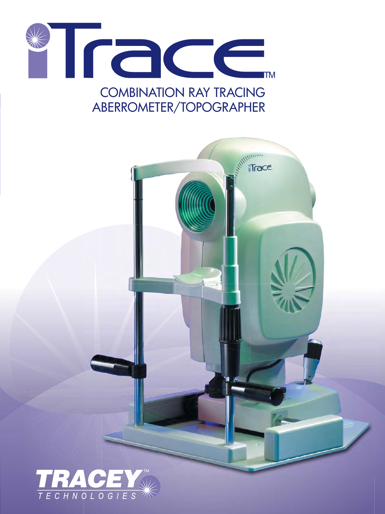



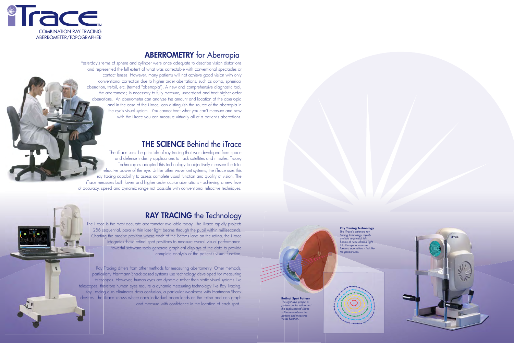**Ray Tracing Technology** *The iTrace's patented ray* 

*tracing technology rapidly projects sequential thin into the eye to measure the patient sees.*

*beams of near-infrared light forward aberrations - just like* 





**Retinal Spot Pattern**  *The light rays project a pattern on the retina and the sophisticated iTrace software analyzes the pattern and measures visual function.*

Yesterday's terms of sphere and cylinder were once adequate to describe vision distortions and represented the full extent of what was correctable with conventional spectacles or contact lenses. However, many patients will not achieve good vision with only conventional correction due to higher order aberrations, such as coma, spherical aberration, trefoil, etc. (termed "aberropia"). A new and comprehensive diagnostic tool, the aberrometer, is necessary to fully measure, understand and treat higher order aberrations. An aberrometer can analyze the amount and location of the aberropia and in the case of the iTrace, can distinguish the source of the aberropia in the eye's visual system. You cannot treat what you can't measure and now with the iTrace you can measure virtually all of a patient's aberrations.

## **THE SCIENCE** Behind the iTrace

Ray Tracing differs from other methods for measuring aberrometry. Other methods, particularly Hartmann-Shack-based systems use technology developed for measuring telescopes. However, human eyes are dynamic rather than static visual systems like telescopes, therefore human eyes require a dynamic measuring technology like Ray Tracing. Ray Tracing also eliminates data confusion, a particular weakness with Hartmann-Shack devices. The iTrace knows where each individual beam lands on the retina and can graph and measure with confidence in the location of each spot.



The iTrace uses the principle of ray tracing that was developed from space and defense industry applications to track satellites and missiles. Tracey Technologies adapted this technology to objectively measure the total refractive power of the eye. Unlike other wavefront systems, the iTrace uses this ray tracing capability to assess complete visual function and quality of vision. The iTrace measures both lower and higher order ocular aberrations - achieving a new level of accuracy, speed and dynamic range not possible with conventional refractive techniques.

## RAY TRACING the Technology

The iTrace is the most accurate aberrometer available today. The iTrace rapidly projects 256 sequential, parallel thin laser light beams through the pupil within milliseconds. Charting the precise position where each of the beams land on the retina, the iTrace integrates these retinal spot positions to measure overall visual performance. Powerful software tools generate graphical displays of the data to provide complete analysis of the patient's visual function.



## **ABERROMETRY** for Aberropia